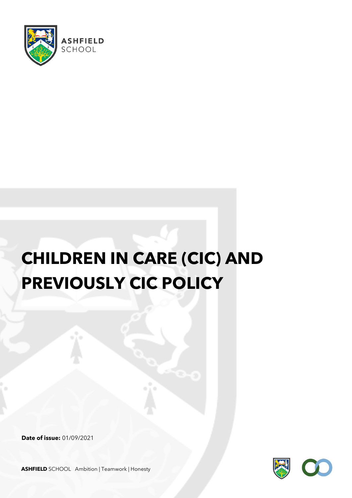

# **CHILDREN IN CARE (CIC) AND PREVIOUSLY CIC POLICY**

**Date of issue:** 01/09/2021



**ASHFIELD** SCHOOL Ambition | Teamwork | Honesty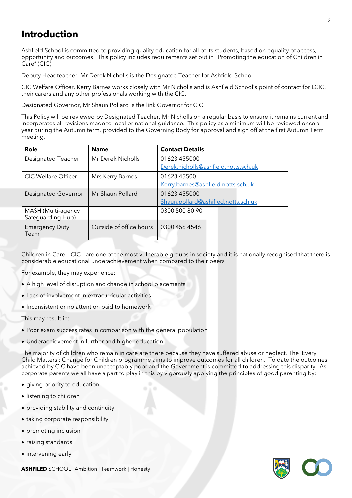# **Introduction**

Ashfield School is committed to providing quality education for all of its students, based on equality of access, opportunity and outcomes. This policy includes requirements set out in "Promoting the education of Children in Care" (CIC)

Deputy Headteacher, Mr Derek Nicholls is the Designated Teacher for Ashfield School

CIC Welfare Officer, Kerry Barnes works closely with Mr Nicholls and is Ashfield School's point of contact for LCIC, their carers and any other professionals working with the CIC.

Designated Governor, Mr Shaun Pollard is the link Governor for CIC.

This Policy will be reviewed by Designated Teacher, Mr Nicholls on a regular basis to ensure it remains current and incorporates all revisions made to local or national guidance. This policy as a minimum will be reviewed once a year during the Autumn term, provided to the Governing Body for approval and sign off at the first Autumn Term meeting.

| <b>Name</b>             | <b>Contact Details</b>               |
|-------------------------|--------------------------------------|
| Mr Derek Nicholls       | 01623 455000                         |
|                         | Derek.nicholls@ashfield.notts.sch.uk |
| Mrs Kerry Barnes        | 01623 45500                          |
|                         | Kerry.barnes@ashfield.notts.sch.uk   |
| Mr Shaun Pollard        | 01623 455000                         |
|                         | Shaun.pollard@ashifled.notts.sch.uk  |
|                         | 0300 500 80 90                       |
| Outside of office hours | 0300 456 4546                        |
|                         |                                      |

Children in Care – CIC - are one of the most vulnerable groups in society and it is nationally recognised that there is considerable educational underachievement when compared to their peers

For example, they may experience:

- A high level of disruption and change in school placements
- Lack of involvement in extracurricular activities
- Inconsistent or no attention paid to homework

This may result in:

- Poor exam success rates in comparison with the general population
- Underachievement in further and higher education

The majority of children who remain in care are there because they have suffered abuse or neglect. The 'Every Child Matters': Change for Children programme aims to improve outcomes for all children. To date the outcomes achieved by CIC have been unacceptably poor and the Government is committed to addressing this disparity. As corporate parents we all have a part to play in this by vigorously applying the principles of good parenting by:

- giving priority to education
- listening to children
- providing stability and continuity
- taking corporate responsibility
- promoting inclusion
- raising standards
- intervening early



**ASHFILED** SCHOOL Ambition | Teamwork | Honesty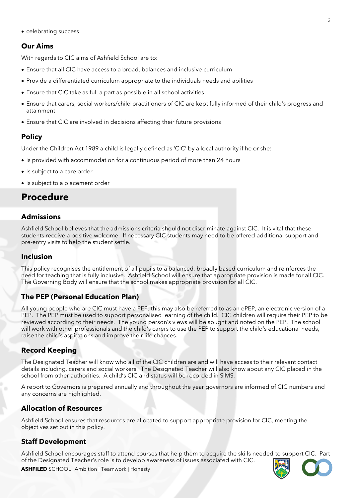• celebrating success

# **Our Aims**

With regards to CIC aims of Ashfield School are to:

- Ensure that all CIC have access to a broad, balances and inclusive curriculum
- Provide a differentiated curriculum appropriate to the individuals needs and abilities
- Ensure that CIC take as full a part as possible in all school activities
- Ensure that carers, social workers/child practitioners of CIC are kept fully informed of their child's progress and attainment
- Ensure that CIC are involved in decisions affecting their future provisions

# **Policy**

Under the Children Act 1989 a child is legally defined as 'CIC' by a local authority if he or she:

- Is provided with accommodation for a continuous period of more than 24 hours
- Is subject to a care order
- Is subject to a placement order

# **Procedure**

# **Admissions**

Ashfield School believes that the admissions criteria should not discriminate against CIC. It is vital that these students receive a positive welcome. If necessary CIC students may need to be offered additional support and pre-entry visits to help the student settle.

#### **Inclusion**

This policy recognises the entitlement of all pupils to a balanced, broadly based curriculum and reinforces the need for teaching that is fully inclusive. Ashfield School will ensure that appropriate provision is made for all CIC. The Governing Body will ensure that the school makes appropriate provision for all CIC.

# **The PEP (Personal Education Plan)**

All young people who are CIC must have a PEP, this may also be referred to as an ePEP, an electronic version of a PEP. The PEP must be used to support personalised learning of the child. CIC children will require their PEP to be reviewed according to their needs. The young person's views will be sought and noted on the PEP. The school will work with other professionals and the child's carers to use the PEP to support the child's educational needs, raise the child's aspirations and improve their life chances.

# **Record Keeping**

The Designated Teacher will know who all of the CIC children are and will have access to their relevant contact details including, carers and social workers. The Designated Teacher will also know about any CIC placed in the school from other authorities. A child's CIC and status will be recorded in SIMS.

A report to Governors is prepared annually and throughout the year governors are informed of CIC numbers and any concerns are highlighted.

#### **Allocation of Resources**

Ashfield School ensures that resources are allocated to support appropriate provision for CIC, meeting the objectives set out in this policy.

# **Staff Development**

Ashfield School encourages staff to attend courses that help them to acquire the skills needed to support CIC. Part of the Designated Teacher's role is to develop awareness of issues associated with CIC.



**ASHFILED** SCHOOL Ambition | Teamwork | Honesty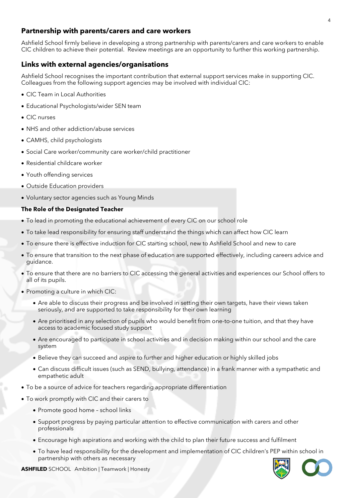## **Partnership with parents/carers and care workers**

Ashfield School firmly believe in developing a strong partnership with parents/carers and care workers to enable CIC children to achieve their potential. Review meetings are an opportunity to further this working partnership.

### **Links with external agencies/organisations**

Ashfield School recognises the important contribution that external support services make in supporting CIC. Colleagues from the following support agencies may be involved with individual CIC:

- CIC Team in Local Authorities
- Educational Psychologists/wider SEN team
- CIC nurses
- NHS and other addiction/abuse services
- CAMHS, child psychologists
- Social Care worker/community care worker/child practitioner
- Residential childcare worker
- Youth offending services
- Outside Education providers
- Voluntary sector agencies such as Young Minds

#### **The Role of the Designated Teacher**

- To lead in promoting the educational achievement of every CIC on our school role
- To take lead responsibility for ensuring staff understand the things which can affect how CIC learn
- To ensure there is effective induction for CIC starting school, new to Ashfield School and new to care
- To ensure that transition to the next phase of education are supported effectively, including careers advice and guidance.
- To ensure that there are no barriers to CIC accessing the general activities and experiences our School offers to all of its pupils.
- Promoting a culture in which CIC:
	- Are able to discuss their progress and be involved in setting their own targets, have their views taken seriously, and are supported to take responsibility for their own learning
	- Are prioritised in any selection of pupils who would benefit from one-to-one tuition, and that they have access to academic focused study support
	- Are encouraged to participate in school activities and in decision making within our school and the care system
	- Believe they can succeed and aspire to further and higher education or highly skilled jobs
	- Can discuss difficult issues (such as SEND, bullying, attendance) in a frank manner with a sympathetic and empathetic adult
- To be a source of advice for teachers regarding appropriate differentiation
- To work promptly with CIC and their carers to
	- Promote good home school links
	- Support progress by paying particular attention to effective communication with carers and other professionals
	- Encourage high aspirations and working with the child to plan their future success and fulfilment
	- To have lead responsibility for the development and implementation of CIC children's PEP within school in partnership with others as necessary